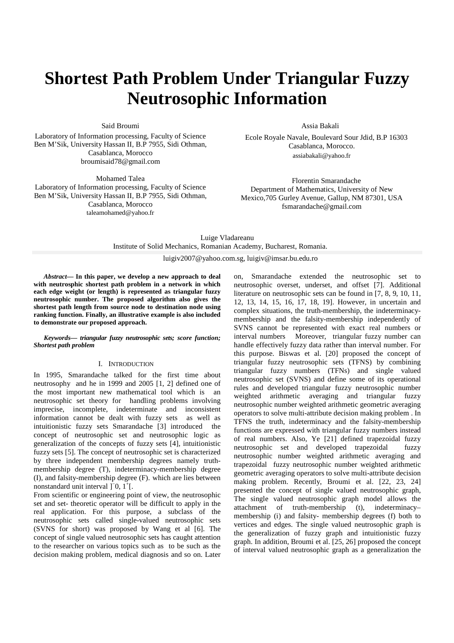# **Shortest Path Problem Under Triangular Fuzzy Neutrosophic Information**

Said Broumi

Laboratory of Information processing, Faculty of Science Ben M'Sik, University Hassan II, B.P 7955, Sidi Othman, Casablanca, Morocco broumisaid78@gmail.com

Mohamed Talea Laboratory of Information processing, Faculty of Science Ben M'Sik, University Hassan II, B.P 7955, Sidi Othman, Casablanca, Morocco taleamohamed@yahoo.fr

Assia Bakali

 Ecole Royale Navale, Boulevard Sour Jdid, B.P 16303 Casablanca, Morocco. assiabakali@yahoo.fr

 Florentin Smarandache Department of Mathematics, University of New Mexico,705 Gurley Avenue, Gallup, NM 87301, USA fsmarandache@gmail.com

## Luige Vladareanu Institute of Solid Mechanics, Romanian Academy, Bucharest, Romania. luigiv2007@yahoo.com.sg, luigiv@imsar.bu.edu.ro

*Abstract***— In this paper, we develop a new approach to deal with neutrosphic shortest path problem in a network in which each edge weight (or length) is represented as triangular fuzzy neutrosophic number. The proposed algorithm also gives the shortest path length from source node to destination node using ranking function. Finally, an illustrative example is also included to demonstrate our proposed approach.** 

*Keywords— triangular fuzzy neutrosophic sets; score function; Shortest path problem* 

#### I. INTRODUCTION

In 1995, Smarandache talked for the first time about neutrosophy and he in 1999 and 2005 [1, 2] defined one of the most important new mathematical tool which is an neutrosophic set theory for handling problems involving imprecise, incomplete, indeterminate and inconsistent information cannot be dealt with fuzzy sets as well as intuitionistic fuzzy sets Smarandache [3] introduced the concept of neutrosophic set and neutrosophic logic as generalization of the concepts of fuzzy sets [4], intuitionistic fuzzy sets [5]. The concept of neutrosophic set is characterized by three independent membership degrees namely truthmembership degree (T), indeterminacy-membership degree (I), and falsity-membership degree (F). which are lies between nonstandard unit interval  $]$ <sup>-</sup>0,  $1$ <sup>+</sup>[.

From scientific or engineering point of view, the neutrosophic set and set- theoretic operator will be difficult to apply in the real application. For this purpose, a subclass of the neutrosophic sets called single-valued neutrosophic sets (SVNS for short) was proposed by Wang et al [6]. The concept of single valued neutrosophic sets has caught attention to the researcher on various topics such as to be such as the decision making problem, medical diagnosis and so on. Later on, Smarandache extended the neutrosophic set to neutrosophic overset, underset, and offset [7]. Additional literature on neutrosophic sets can be found in [7, 8, 9, 10, 11, 12, 13, 14, 15, 16, 17, 18, 19]. However, in uncertain and complex situations, the truth-membership, the indeterminacymembership and the falsity-membership independently of SVNS cannot be represented with exact real numbers or interval numbers Moreover, triangular fuzzy number can handle effectively fuzzy data rather than interval number. For this purpose. Biswas et al. [20] proposed the concept of triangular fuzzy neutrosophic sets (TFNS) by combining triangular fuzzy numbers (TFNs) and single valued neutrosophic set (SVNS) and define some of its operational rules and developed triangular fuzzy neutrosophic number weighted arithmetic averaging and triangular fuzzy neutrosophic number weighted arithmetic geometric averaging operators to solve multi-attribute decision making problem . In TFNS the truth, indeterminacy and the falsity-membership functions are expressed with triangular fuzzy numbers instead of real numbers. Also, Ye [21] defined trapezoidal fuzzy neutrosophic set and developed trapezoidal fuzzy neutrosophic number weighted arithmetic averaging and trapezoidal fuzzy neutrosophic number weighted arithmetic geometric averaging operators to solve multi-attribute decision making problem. Recently, Broumi et al. [22, 23, 24] presented the concept of single valued neutrosophic graph, The single valued neutrosophic graph model allows the attachment of truth-membership (t), indeterminacy– membership (i) and falsity- membership degrees (f) both to vertices and edges. The single valued neutrosophic graph is the generalization of fuzzy graph and intuitionistic fuzzy graph. In addition, Broumi et al. [25, 26] proposed the concept of interval valued neutrosophic graph as a generalization the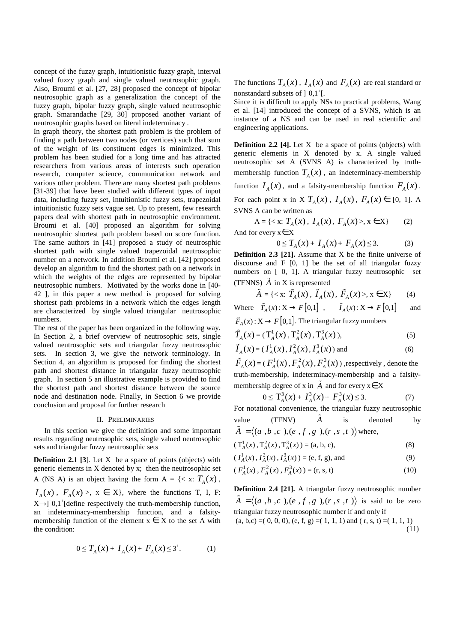concept of the fuzzy graph, intuitionistic fuzzy graph, interval valued fuzzy graph and single valued neutrosophic graph. Also, Broumi et al. [27, 28] proposed the concept of bipolar neutrosophic graph as a generalization the concept of the fuzzy graph, bipolar fuzzy graph, single valued neutrosophic graph. Smarandache [29, 30] proposed another variant of neutrosophic graphs based on literal indeterminacy .

In graph theory, the shortest path problem is the problem of finding a path between two nodes (or vertices) such that sum of the weight of its constituent edges is minimized. This problem has been studied for a long time and has attracted researchers from various areas of interests such operation research, computer science, communication network and various other problem. There are many shortest path problems [31-39] that have been studied with different types of input data, including fuzzy set, intuitionistic fuzzy sets, trapezoidal intuitionistic fuzzy sets vague set. Up to present, few research papers deal with shortest path in neutrosophic environment. Broumi et al. [40] proposed an algorithm for solving neutrosophic shortest path problem based on score function. The same authors in [41] proposed a study of neutrosphic shortest path with single valued trapezoidal neutrosophic number on a network. In addition Broumi et al. [42] proposed develop an algorithm to find the shortest path on a network in which the weights of the edges are represented by bipolar neutrosophic numbers. Motivated by the works done in [40- 42 ], in this paper a new method is proposed for solving shortest path problems in a network which the edges length are characterized by single valued triangular neutrosophic numbers.

The rest of the paper has been organized in the following way. In Section 2, a brief overview of neutrosophic sets, single valued neutrosophic sets and triangular fuzzy neutrosophic sets. In section 3, we give the network terminology. In Section 4, an algorithm is proposed for finding the shortest path and shortest distance in triangular fuzzy neutrosophic graph. In section 5 an illustrative example is provided to find the shortest path and shortest distance between the source node and destination node. Finally, in Section 6 we provide conclusion and proposal for further research

#### II. PRELIMINARIES

In this section we give the definition and some important results regarding neutrosophic sets, single valued neutrosophic sets and triangular fuzzy neutrosophic sets

**Definition 2.1 [3].** Let X be a space of points (objects) with generic elements in X denoted by x; then the neutrosophic set A (NS A) is an object having the form  $A = \{ \langle x, T_A(x) \rangle, \}$  $I_A(x)$ ,  $F_A(x) > x \in X$ , where the functions T, I, F:  $X \rightarrow ]0,1^{\dagger}$ [define respectively the truth-membership function, an indeterminacy-membership function, and a falsitymembership function of the element  $x \in X$  to the set A with the condition:

$$
T_0 \le T_A(x) + I_A(x) + F_A(x) \le 3^+.
$$
 (1)

The functions  $T_A(x)$ ,  $I_A(x)$  and  $F_A(x)$  are real standard or nonstandard subsets of ]<sup>-</sup>0,1<sup>+</sup>[.

Since it is difficult to apply NSs to practical problems, Wang et al. [14] introduced the concept of a SVNS, which is an instance of a NS and can be used in real scientific and engineering applications.

**Definition 2.2 [4].** Let X be a space of points (objects) with generic elements in X denoted by x. A single valued neutrosophic set A (SVNS A) is characterized by truthmembership function  $T_A(x)$ , an indeterminacy-membership function  $I_A(x)$ , and a falsity-membership function  $F_A(x)$ . For each point x in X  $T_A(x)$ ,  $I_A(x)$ ,  $F_A(x) \in [0, 1]$ . A

SVNS A can be written as

$$
A = \{ \langle x : T_A(x), I_A(x), F_A(x) \rangle, x \in X \}
$$
 (2)  
And for every  $x \in X$ 

$$
0 \le T_A(x) + I_A(x) + F_A(x) \le 3. \tag{3}
$$

**Definition 2.3 [21].** Assume that X be the finite universe of discourse and F [0, 1] be the set of all triangular fuzzy numbers on [ 0, 1]. A triangular fuzzy neutrosophic set (TFNNS)  $\tilde{A}$  in X is represented

$$
\tilde{A} = \{ \langle x : \tilde{T}_A(x), \tilde{I}_A(x), \tilde{F}_A(x) \rangle, x \in X \}
$$
 (4)

Where  $\tilde{T}_A(x)$ :  $X \to F[0,1]$ ,  $\tilde{I}_A(x)$ :  $X \to F[0,1]$ and

 $\tilde{F}_A(x)$ :  $X \to F[0,1]$ . The triangular fuzzy numbers

$$
\tilde{T}_A(x) = (T_A^1(x), T_A^2(x), T_A^3(x)),
$$
\n(5)

$$
\tilde{I}_A(x) = (I_A^1(x), I_A^2(x), I_A^3(x))
$$
 and (6)

 $\tilde{F}_A(x) = (F_A^1(x), F_A^2(x), F_A^3(x))$  ,respectively , denote the truth-membership, indeterminacy-membership and a falsitymembership degree of x in  $\tilde{A}$  and for every  $x \in X$ 

$$
0 \leq T_A^3(x) + I_A^3(x) + F_A^3(x) \leq 3. \tag{7}
$$

For notational convenience, the triangular fuzzy neutrosophic value (TFNV)  $\tilde{A}$  is denoted by  $\tilde{A} = \langle (a_1, b_1, c_1), (e_1, f_1, g_1), (r_1, s_1, t_1) \rangle$  where,

$$
(T_A^1(x), T_A^2(x), T_A^3(x)) = (a, b, c),
$$
 (8)

$$
(I_A^1(x), I_A^2(x), I_A^3(x)) = (e, f, g), \text{ and}
$$
 (9)

$$
(F_A^1(x), F_A^2(x), F_A^3(x)) = (r, s, t)
$$
 (10)

**Definition 2.4 [21].** A triangular fuzzy neutrosophic number  $\tilde{A} = \langle (a, b, c), (e, f, g), (r, s, t) \rangle$  is said to be zero triangular fuzzy neutrosophic number if and only if  $(a, b, c) = (0, 0, 0), (e, f, g) = (1, 1, 1)$  and  $(r, s, t) = (1, 1, 1)$ (11)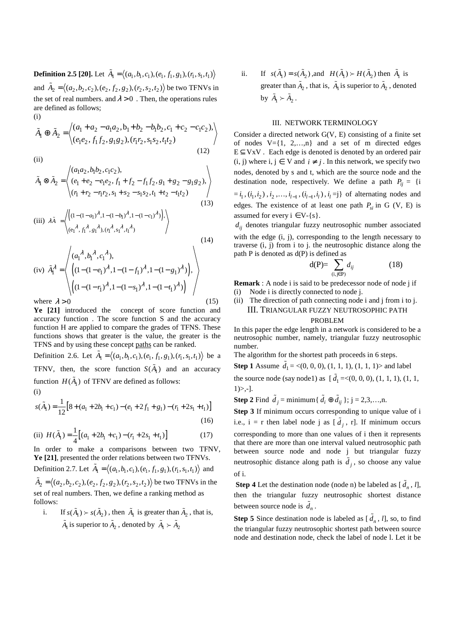**Definition 2.5 [20].** Let  $\tilde{A}_1 = \langle (a_1, b_1, c_1), (e_1, f_1, g_1), (r_1, s_1, t_1) \rangle$ and  $\tilde{A}_2 = \langle (a_2,b_2,c_2), (e_2,f_2,g_2), (r_2,s_2,t_2) \rangle$  be two TFNVs in the set of real numbers. and  $\lambda > 0$ . Then, the operations rules are defined as follows; (i)

$$
\tilde{A}_1 \oplus \tilde{A}_2 = \left\langle \begin{array}{l} (a_1 + a_2 - a_1 a_2, b_1 + b_2 - b_1 b_2, c_1 + c_2 - c_1 c_2), \\ (e_1 e_2, f_1 f_2, g_1 g_2), (r_1 r_2, s_1 s_2, t_1 t_2) \end{array} \right\rangle
$$
\n(12)

(ii)

$$
\tilde{A}_1 \otimes \tilde{A}_2 = \begin{pmatrix} (a_1a_2, b_1b_2, c_1c_2), \\ (e_1 + e_2 - e_1e_2, f_1 + f_2 - f_1f_2, g_1 + g_2 - g_1g_2), \\ (r_1 + r_2 - r_1r_2, s_1 + s_2 - s_1s_2, t_1 + t_2 - t_1t_2) \end{pmatrix}
$$
\n(13)

(iii) 
$$
\lambda \tilde{A} = \left\langle \begin{pmatrix} (1 - (1 - a_1)^{\lambda}, 1 - (1 - b_1)^{\lambda}, 1 - (1 - c_1)^{\lambda}) \\ (e_1^{\lambda}, f_1^{\lambda}, g_1^{\lambda}), (r_1^{\lambda}, s_1^{\lambda}, t_1^{\lambda}) \end{pmatrix} \right\rangle
$$
 (14)

$$
(iv) \tilde{A}_{1}^{\lambda} = \left\langle \begin{pmatrix} (a_{1}^{\lambda}, b_{1}^{\lambda}, c_{1}^{\lambda}), & & \\ (1 - (1 - e_{1})^{\lambda}, 1 - (1 - f_{1})^{\lambda}, 1 - (1 - g_{1})^{\lambda}) \end{pmatrix}, \right\rangle
$$
  
where  $\lambda > 0$  (15)

**Ye [21]** introduced the concept of score function and accuracy function . The score function S and the accuracy function H are applied to compare the grades of TFNS. These functions shows that greater is the value, the greater is the TFNS and by using these concept paths can be ranked.

Definition 2.6. Let  $\tilde{A}_1 = \langle (a_1, b_1, c_1), (e_1, f_1, g_1), (r_1, s_1, t_1) \rangle$  be a TFNV, then, the score function  $S(\tilde{A}_1)$  and an accuracy function  $H(\tilde{A}_1)$  of TFNV are defined as follows: (i)

$$
s(\tilde{A}_1) = \frac{1}{12} [8 + (a_1 + 2b_1 + c_1) - (e_1 + 2f_1 + g_1) - (r_1 + 2s_1 + t_1)]
$$
\n(16)

(ii) 
$$
H(\tilde{A}_1) = \frac{1}{4} [(a_1 + 2b_1 + c_1) - (r_1 + 2s_1 + t_1)]
$$
 (17)

In order to make a comparisons between two TFNV, **Ye [21]**, presented the order relations between two TFNVs. Definition 2.7. Let  $\tilde{A}_1 = \langle (a_1, b_1, c_1), (e_1, f_1, g_1), (r_1, s_1, t_1) \rangle$  and  $\tilde{A}_2 = \langle (a_2, b_2, c_2), (e_2, f_2, g_2), (r_2, s_2, t_2) \rangle$  be two TFNVs in the set of real numbers. Then, we define a ranking method as follows:

i. If  $s(\tilde{A}_1) > s(\tilde{A}_2)$ , then  $\tilde{A}_1$  is greater than  $\tilde{A}_2$ , that is,  $\tilde{A}_1$  is superior to  $\tilde{A}_2$ , denoted by  $\tilde{A}_1 \succ \tilde{A}_2$ 

ii. If  $s(\tilde{A}_1) = s(\tilde{A}_2)$ ,and  $H(\tilde{A}_1) \succ H(\tilde{A}_2)$  then  $\tilde{A}_1$  is greater than  $\tilde{A}_2$ , that is,  $\tilde{A}_1$  is superior to  $\tilde{A}_2$ , denoted by  $\tilde{A}_1 \succ \tilde{A}_2$ .

## III. NETWORK TERMINOLOGY

Consider a directed network G(V, E) consisting of a finite set of nodes  $V = \{1, 2,...,n\}$  and a set of m directed edges  $E \subseteq VxV$ . Each edge is denoted is denoted by an ordered pair (i, j) where i,  $j \in V$  and  $i \neq j$ . In this network, we specify two nodes, denoted by s and t, which are the source node and the destination node, respectively. We define a path  $P_{ii} = \{i \}$  $=i_1$ ,  $(i_1, i_2)$ ,  $i_2$ ,...,  $i_{l-1}$ ,  $(i_{l-1}, i_l)$ ,  $i_l = j$ } of alternating nodes and edges. The existence of at least one path  $P_{si}$  in G (V, E) is assumed for every  $i \in V - \{s\}.$ 

 $d_{ij}$  denotes triangular fuzzy neutrosophic number associated with the edge (i, j), corresponding to the length necessary to traverse (i, j) from i to j. the neutrosophic distance along the path P is denoted as d(P) is defined as

$$
d(P) = \sum_{(i,j \in P)} d_{ij} \tag{18}
$$

**Remark** : A node i is said to be predecessor node of node j if (i) Node i is directly connected to node j.

(ii) The direction of path connecting node i and j from i to j. III. TRIANGULAR FUZZY NEUTROSOPHIC PATH

## PROBLEM

In this paper the edge length in a network is considered to be a neutrosophic number, namely, triangular fuzzy neutrosophic number.

The algorithm for the shortest path proceeds in 6 steps.

**Step 1** Assume  $\tilde{d}_1 = \langle (0, 0, 0), (1, 1, 1), (1, 1, 1) \rangle$  and label the source node (say node1) as  $[\tilde{d}_1 =<(0, 0, 0), (1, 1, 1), (1, 1, ...)$  $1)$ ,-].

**Step 2** Find  $\tilde{d}_j$  = minimum{  $\tilde{d}_i \oplus \tilde{d}_{ij}$  }; j = 2,3,...,n.

**Step 3** If minimum occurs corresponding to unique value of i i.e.,  $i = r$  then label node j as  $[\tilde{d}_j, r]$ . If minimum occurs corresponding to more than one values of i then it represents that there are more than one interval valued neutrosophic path between source node and node j but triangular fuzzy neutrosophic distance along path is  $\tilde{d}_j$ , so choose any value of i.

**Step 4** Let the destination node (node n) be labeled as  $[\tilde{d}_n, l]$ , then the triangular fuzzy neutrosophic shortest distance between source node is  $\tilde{d}_n$ .

**Step 5** Since destination node is labeled as  $[\tilde{d}_n, l]$ , so, to find the triangular fuzzy neutrosophic shortest path between source node and destination node, check the label of node l. Let it be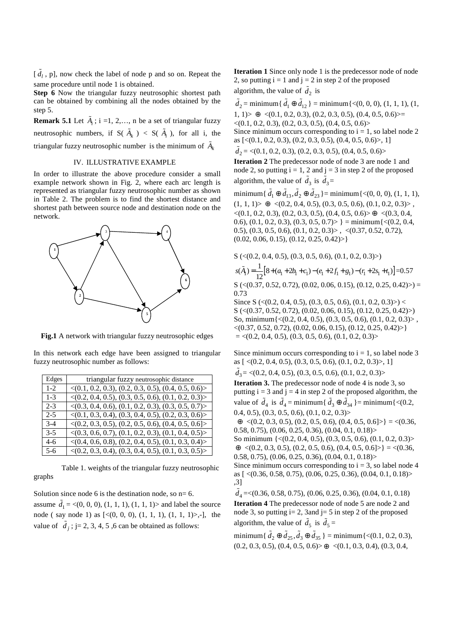$[\tilde{d}_l, p]$ , now check the label of node p and so on. Repeat the same procedure until node 1 is obtained.

**Step 6** Now the triangular fuzzy neutrosophic shortest path can be obtained by combining all the nodes obtained by the step 5.

**Remark 5.1** Let  $\tilde{A}_i$ ; i =1, 2,..., n be a set of triangular fuzzy neutrosophic numbers, if  $S(\tilde{A}_k) < S(\tilde{A}_i)$ , for all i, the triangular fuzzy neutrosophic number is the minimum of  $\tilde{A}_k$ 

## IV. ILLUSTRATIVE EXAMPLE

In order to illustrate the above procedure consider a small example network shown in Fig. 2, where each arc length is represented as triangular fuzzy neutrosophic number as shown in Table 2. The problem is to find the shortest distance and shortest path between source node and destination node on the network.



**Fig.1** A network with triangular fuzzy neutrosophic edges

In this network each edge have been assigned to triangular fuzzy neutrosophic number as follows:

| Edges   | triangular fuzzy neutrosophic distance                              |
|---------|---------------------------------------------------------------------|
| $1 - 2$ | $\langle (0.1, 0.2, 0.3), (0.2, 0.3, 0.5), (0.4, 0.5, 0.6) \rangle$ |
| $1 - 3$ | $\langle (0.2, 0.4, 0.5), (0.3, 0.5, 0.6), (0.1, 0.2, 0.3) \rangle$ |
| $2-3$   | $\langle (0.3, 0.4, 0.6), (0.1, 0.2, 0.3), (0.3, 0.5, 0.7) \rangle$ |
| $2 - 5$ | $\langle (0.1, 0.3, 0.4), (0.3, 0.4, 0.5), (0.2, 0.3, 0.6) \rangle$ |
| $3-4$   | $\langle (0.2, 0.3, 0.5), (0.2, 0.5, 0.6), (0.4, 0.5, 0.6) \rangle$ |
| $3-5$   | $\langle (0.3, 0.6, 0.7), (0.1, 0.2, 0.3), (0.1, 0.4, 0.5) \rangle$ |
| $4-6$   | $\langle (0.4, 0.6, 0.8), (0.2, 0.4, 0.5), (0.1, 0.3, 0.4) \rangle$ |
| $5 - 6$ | $\langle (0.2, 0.3, 0.4), (0.3, 0.4, 0.5), (0.1, 0.3, 0.5) \rangle$ |

 Table 1. weights of the triangular fuzzy neutrosophic graphs

Solution since node 6 is the destination node, so  $n=6$ .

assume  $\tilde{d}_1 = \langle 0, 0, 0 \rangle, (1, 1, 1), (1, 1, 1) \rangle$  and label the source node ( say node 1) as [<(0, 0, 0), (1, 1, 1), (1, 1, 1)>,-], the value of  $\tilde{d}_j$ ; j= 2, 3, 4, 5, 6 can be obtained as follows:

**Iteration 1** Since only node 1 is the predecessor node of node 2, so putting  $i = 1$  and  $j = 2$  in step 2 of the proposed algorithm, the value of  $\tilde{d}_2$  is

 $\tilde{d}_2$  = minimum{ $\tilde{d}_1 \oplus \tilde{d}_{12}$  } = minimum{ < (0, 0, 0), (1, 1, 1), (1, 1, 1 $\gg \oplus \langle (0.1, 0.2, 0.3), (0.2, 0.3, 0.5), (0.4, 0.5, 0.6) \rangle$  $\langle (0.1, 0.2, 0.3), (0.2, 0.3, 0.5), (0.4, 0.5, 0.6) \rangle$ Since minimum occurs corresponding to  $i = 1$ , so label node 2 as [<(0.1, 0.2, 0.3), (0.2, 0.3, 0.5), (0.4, 0.5, 0.6)>, 1]  $\tilde{d}_2$  = <(0.1, 0.2, 0.3), (0.2, 0.3, 0.5), (0.4, 0.5, 0.6)> **Iteration 2** The predecessor node of node 3 are node 1 and

node 2, so putting  $i = 1, 2$  and  $j = 3$  in step 2 of the proposed algorithm, the value of  $\tilde{d}_3$  is  $\tilde{d}_3$  =

 $\text{minimum} \{ \tilde{d}_1 \oplus \tilde{d}_{13}, \tilde{d}_2 \oplus \tilde{d}_{23} \} = \text{minimum} \{ \langle 0, 0, 0 \rangle, (1, 1, 1), \}$  $(1, 1, 1)$   $\geq$   $\oplus$   $\leq$   $(0.2, 0.4, 0.5), (0.3, 0.5, 0.6), (0.1, 0.2, 0.3)$   $\geq$ ,  $\langle (0.1, 0.2, 0.3), (0.2, 0.3, 0.5), (0.4, 0.5, 0.6) \rangle$  ⊕  $\langle (0.3, 0.4, 0.5, 0.6), (0.4, 0.5, 0.6), (0.3, 0.4, 0.6), (0.3, 0.4, 0.6), (0.3, 0.4, 0.6), (0.3, 0.4, 0.6), (0.3, 0.4, 0.6), (0.3, 0.4, 0.6), (0.3, 0.4, 0.6), (0.3, 0.4, 0.6), (0.3, 0.$ 0.6), (0.1, 0.2, 0.3), (0.3, 0.5, 0.7) > } = minimum $\{<(0.2, 0.4,$ 0.5), (0.3, 0.5, 0.6), (0.1, 0.2, 0.3)> , <(0.37, 0.52, 0.72),  $(0.02, 0.06, 0.15), (0.12, 0.25, 0.42)$ 

$$
S \left( \langle 0.2, 0.4, 0.5 \rangle, (0.3, 0.5, 0.6), (0.1, 0.2, 0.3) \rangle \right)
$$
  

$$
s(\tilde{A}_1) = \frac{1}{12} [8 + (a_1 + 2b_1 + c_1) - (e_1 + 2f_1 + g_1) - (r_1 + 2s_1 + t_1)] = 0.57
$$

 $S \left( \langle 0.37, 0.52, 0.72 \rangle, (0.02, 0.06, 0.15), (0.12, 0.25, 0.42) \rangle \right) =$ 0.73

Since S ( $\langle (0.2, 0.4, 0.5), (0.3, 0.5, 0.6), (0.1, 0.2, 0.3) \rangle$ ) < S (<(0.37, 0.52, 0.72), (0.02, 0.06, 0.15), (0.12, 0.25, 0.42)>) So, minimum{<(0.2, 0.4, 0.5), (0.3, 0.5, 0.6), (0.1, 0.2, 0.3)> ,  $\langle (0.37, 0.52, 0.72), (0.02, 0.06, 0.15), (0.12, 0.25, 0.42) \rangle$  $=<(0.2, 0.4, 0.5), (0.3, 0.5, 0.6), (0.1, 0.2, 0.3)$ 

Since minimum occurs corresponding to  $i = 1$ , so label node 3 as  $[<(0.2, 0.4, 0.5), (0.3, 0.5, 0.6), (0.1, 0.2, 0.3)$ , 1]  $\tilde{d}_3$  = <(0.2, 0.4, 0.5), (0.3, 0.5, 0.6), (0.1, 0.2, 0.3)>

**Iteration 3.** The predecessor node of node 4 is node 3, so putting  $i = 3$  and  $j = 4$  in step 2 of the proposed algorithm, the value of  $\tilde{d}_4$  is  $\tilde{d}_4$  = minimum{  $\tilde{d}_3 \oplus \tilde{d}_{34}$  }= minimum{ <(0.2,

 $(0.4, 0.5), (0.3, 0.5, 0.6), (0.1, 0.2, 0.3)$ 

 $\oplus \langle (0.2, 0.3, 0.5), (0.2, 0.5, 0.6), (0.4, 0.5, 0.6) \rangle$  =  $\langle (0.36, 0.5, 0.6), (0.4, 0.5, 0.6) \rangle$ 0.58, 0.75), (0.06, 0.25, 0.36), (0.04, 0.1, 0.18)>

So minimum {<(0.2, 0.4, 0.5), (0.3, 0.5, 0.6), (0.1, 0.2, 0.3)>  $\oplus \langle (0.2, 0.3, 0.5), (0.2, 0.5, 0.6), (0.4, 0.5, 0.6) \rangle = \langle (0.36, 0.5, 0.6), (0.4, 0.5, 0.6) \rangle$  $(0.58, 0.75), (0.06, 0.25, 0.36), (0.04, 0.1, 0.18)$ 

Since minimum occurs corresponding to  $i = 3$ , so label node 4 as [ <(0.36, 0.58, 0.75), (0.06, 0.25, 0.36), (0.04, 0.1, 0.18)> ,3]

 $\tilde{d}_4 = \langle 0.36, 0.58, 0.75, 0.06, 0.25, 0.36, 0.04, 0.1, 0.18 \rangle$ **Iteration 4** The predecessor node of node 5 are node 2 and node 3, so putting  $i= 2$ , 3and  $j= 5$  in step 2 of the proposed algorithm, the value of  $\tilde{d}_5$  is  $\tilde{d}_5$  =

minimum{  $\tilde{d}_2 \oplus \tilde{d}_{25}, \tilde{d}_3 \oplus \tilde{d}_{35}$  } = minimum{ < (0.1, 0.2, 0.3),  $(0.2, 0.3, 0.5), (0.4, 0.5, 0.6)$   $\geq \oplus \leq (0.1, 0.3, 0.4), (0.3, 0.4,$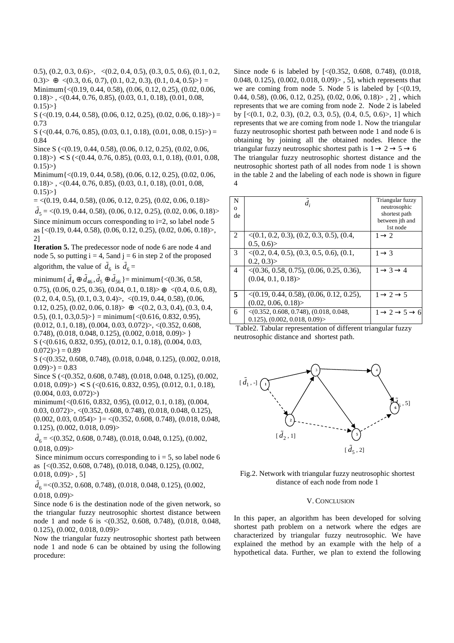0.5),  $(0.2, 0.3, 0.6)$ ,  $\langle (0.2, 0.4, 0.5), (0.3, 0.5, 0.6), (0.1, 0.2,$ 0.3) $>\oplus$  <(0.3, 0.6, 0.7), (0.1, 0.2, 0.3), (0.1, 0.4, 0.5) $>\right$ ] = Minimum{<(0.19, 0.44, 0.58), (0.06, 0.12, 0.25), (0.02, 0.06,  $(0.18)$ , < $(0.44, 0.76, 0.85)$ ,  $(0.03, 0.1, 0.18)$ ,  $(0.01, 0.08, 0.15)$  $0.15$ ) > }

 $S \left( \langle 0.19, 0.44, 0.58 \rangle, (0.06, 0.12, 0.25), (0.02, 0.06, 0.18) \rangle \right) =$ 0.73

 $S \left( \langle 0.44, 0.76, 0.85 \rangle, (0.03, 0.1, 0.18), (0.01, 0.08, 0.15) \rangle \right) =$ 0.84

Since S (<(0.19, 0.44, 0.58), (0.06, 0.12, 0.25), (0.02, 0.06,

 $(0.18)$  >  $\leq S \leq (0.44, 0.76, 0.85), (0.03, 0.1, 0.18), (0.01, 0.08, 0.01)$  $0.15)$ 

Minimum{<(0.19, 0.44, 0.58), (0.06, 0.12, 0.25), (0.02, 0.06,  $(0.18)$ , <(0.44, 0.76, 0.85), (0.03, 0.1, 0.18), (0.01, 0.08,  $0.15$ ) > }

 $=$  <(0.19, 0.44, 0.58), (0.06, 0.12, 0.25), (0.02, 0.06, 0.18)>

 $\tilde{d}_5$  = <(0.19, 0.44, 0.58), (0.06, 0.12, 0.25), (0.02, 0.06, 0.18)> Since minimum occurs corresponding to i=2, so label node 5 as [<(0.19, 0.44, 0.58), (0.06, 0.12, 0.25), (0.02, 0.06, 0.18)>, 2]

**Iteration 5.** The predecessor node of node 6 are node 4 and node 5, so putting  $i = 4$ , 5 and  $j = 6$  in step 2 of the proposed algorithm, the value of  $\tilde{d}_6$  is  $\tilde{d}_6$  =

minimum{  $\tilde{d}_4 \oplus \tilde{d}_{46}, \tilde{d}_5 \oplus \tilde{d}_{56}$  }= minimum{<(0.36, 0.58, 0.75),  $(0.06, 0.25, 0.36), (0.04, 0.1, 0.18) > \oplus \langle (0.4, 0.6, 0.8),$  $(0.2, 0.4, 0.5), (0.1, 0.3, 0.4)$ ,  $\langle (0.19, 0.44, 0.58), (0.06,$ 0.12, 0.25), (0.02, 0.06, 0.18)> ⊕ <(0.2, 0.3, 0.4), (0.3, 0.4, 0.5),  $(0.1, 0.3, 0.5)$  = minimum $\{<(0.616, 0.832, 0.95)$ ,  $(0.012, 0.1, 0.18), (0.004, 0.03, 0.072)$ ,  $\langle (0.352, 0.608, 0.012, 0.015, 0.015, 0.015, 0.015, 0.015, 0.015, 0.015, 0.015, 0.015, 0.015, 0.015, 0.015, 0.015, 0.015, 0.015, 0.015, 0.015, 0.015, 0.015, 0.015, 0.015, 0.015,$ 0.748),  $(0.018, 0.048, 0.125)$ ,  $(0.002, 0.018, 0.09)$  } S (<(0.616, 0.832, 0.95), (0.012, 0.1, 0.18), (0.004, 0.03,  $(0.072)$  >  $) = 0.89$ 

S (<(0.352, 0.608, 0.748), (0.018, 0.048, 0.125), (0.002, 0.018,  $(0.09)$  = 0.83

Since S (<(0.352, 0.608, 0.748), (0.018, 0.048, 0.125), (0.002,  $(0.018, 0.09)$  >  $\leq S$  (<(0.616, 0.832, 0.95), (0.012, 0.1, 0.18),  $(0.004, 0.03, 0.072)$ 

minimum{<(0.616, 0.832, 0.95), (0.012, 0.1, 0.18), (0.004, 0.03, 0.072 $) > , \langle (0.352, 0.608, 0.748), (0.018, 0.048, 0.125),$  $(0.002, 0.03, 0.054)$  = <(0.352, 0.608, 0.748), (0.018, 0.048, 0.125), (0.002, 0.018, 0.09)>

 $\tilde{d}_6 = \langle (0.352, 0.608, 0.748), (0.018, 0.048, 0.125), (0.002,$  $0.018, 0.09$ 

Since minimum occurs corresponding to  $i = 5$ , so label node 6 as [<(0.352, 0.608, 0.748), (0.018, 0.048, 0.125), (0.002,  $0.018, 0.09$  $>$ , 5]

 $\tilde{d}_6 = \langle 0.352, 0.608, 0.748, (0.018, 0.048, 0.125), (0.002,$  $0.018, 0.09$ 

Since node 6 is the destination node of the given network, so the triangular fuzzy neutrosophic shortest distance between node 1 and node 6 is <(0.352, 0.608, 0.748), (0.018, 0.048, 0.125), (0.002, 0.018, 0.09)>

Now the triangular fuzzy neutrosophic shortest path between node 1 and node 6 can be obtained by using the following procedure:

Since node 6 is labeled by [<(0.352, 0.608, 0.748), (0.018, 0.048, 0.125), (0.002, 0.018, 0.09)> , 5], which represents that we are coming from node 5. Node 5 is labeled by  $\lfloor \langle 0.19, 1 \rangle \rfloor$ 0.44, 0.58), (0.06, 0.12, 0.25), (0.02, 0.06, 0.18) >  $, 2]$ , which represents that we are coming from node 2. Node 2 is labeled by [<(0.1, 0.2, 0.3), (0.2, 0.3, 0.5), (0.4, 0.5, 0.6)>, 1] which represents that we are coming from node 1. Now the triangular fuzzy neutrosophic shortest path between node 1 and node 6 is obtaining by joining all the obtained nodes. Hence the triangular fuzzy neutrosophic shortest path is  $1 \rightarrow 2 \rightarrow 5 \rightarrow 6$ The triangular fuzzy neutrosophic shortest distance and the neutrosophic shortest path of all nodes from node 1 is shown in the table 2 and the labeling of each node is shown in figure 4

| N<br>$\mathbf{O}$<br>de |                                                                                  | Triangular fuzzy<br>neutrosophic<br>shortest path<br>between jth and<br>1st node |
|-------------------------|----------------------------------------------------------------------------------|----------------------------------------------------------------------------------|
| 2                       | $\langle (0.1, 0.2, 0.3), (0.2, 0.3, 0.5), (0.4,$<br>0.5, 0.6                    | $1 \rightarrow 2$                                                                |
| $\mathcal{E}$           | $\langle (0.2, 0.4, 0.5), (0.3, 0.5, 0.6), (0.1,$<br>$0.2, 0.3$ )                | $1 \rightarrow 3$                                                                |
| $\overline{4}$          | $\langle (0.36, 0.58, 0.75), (0.06, 0.25, 0.36),$<br>(0.04, 0.1, 0.18)           | $1 \rightarrow 3 \rightarrow 4$                                                  |
| 5                       | $\langle (0.19, 0.44, 0.58), (0.06, 0.12, 0.25),$<br>(0.02, 0.06, 0.18)          | $1 \rightarrow 2 \rightarrow 5$                                                  |
| 6                       | $\langle (0.352, 0.608, 0.748), (0.018, 0.048,$<br>(0.125), (0.002, 0.018, 0.09) | $1 \rightarrow 2 \rightarrow 5 \rightarrow 6$                                    |

 Table2. Tabular representation of different triangular fuzzy neutrosophic distance and shortest path.





#### V. CONCLUSION

In this paper, an algorithm has been developed for solving shortest path problem on a network where the edges are characterized by triangular fuzzy neutrosophic. We have explained the method by an example with the help of a hypothetical data. Further, we plan to extend the following